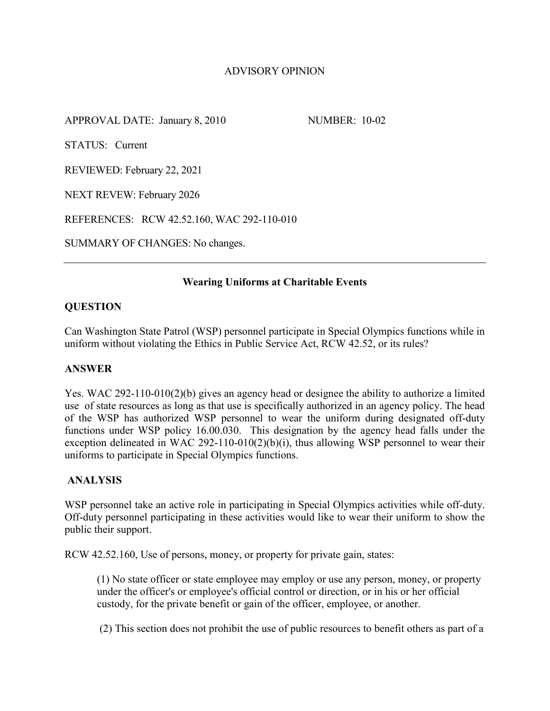# ADVISORY OPINION

APPROVAL DATE: January 8, 2010 NUMBER: 10-02

STATUS: Current

REVIEWED: February 22, 2021

NEXT REVEW: February 2026

REFERENCES: RCW 42.52.160, WAC 292-110-010

SUMMARY OF CHANGES: No changes.

## **Wearing Uniforms at Charitable Events**

# **QUESTION**

Can Washington State Patrol (WSP) personnel participate in Special Olympics functions while in uniform without violating the Ethics in Public Service Act, RCW 42.52, or its rules?

## **ANSWER**

Yes. WAC 292-110-010(2)(b) gives an agency head or designee the ability to authorize a limited use of state resources as long as that use is specifically authorized in an agency policy. The head of the WSP has authorized WSP personnel to wear the uniform during designated off-duty functions under WSP policy 16.00.030. This designation by the agency head falls under the exception delineated in WAC 292-110-010(2)(b)(i), thus allowing WSP personnel to wear their uniforms to participate in Special Olympics functions.

## **ANALYSIS**

WSP personnel take an active role in participating in Special Olympics activities while off-duty. Off-duty personnel participating in these activities would like to wear their uniform to show the public their support.

RCW 42.52.160, Use of persons, money, or property for private gain, states:

(1) No state officer or state employee may employ or use any person, money, or property under the officer's or employee's official control or direction, or in his or her official custody, for the private benefit or gain of the officer, employee, or another.

(2) This section does not prohibit the use of public resources to benefit others as part of a